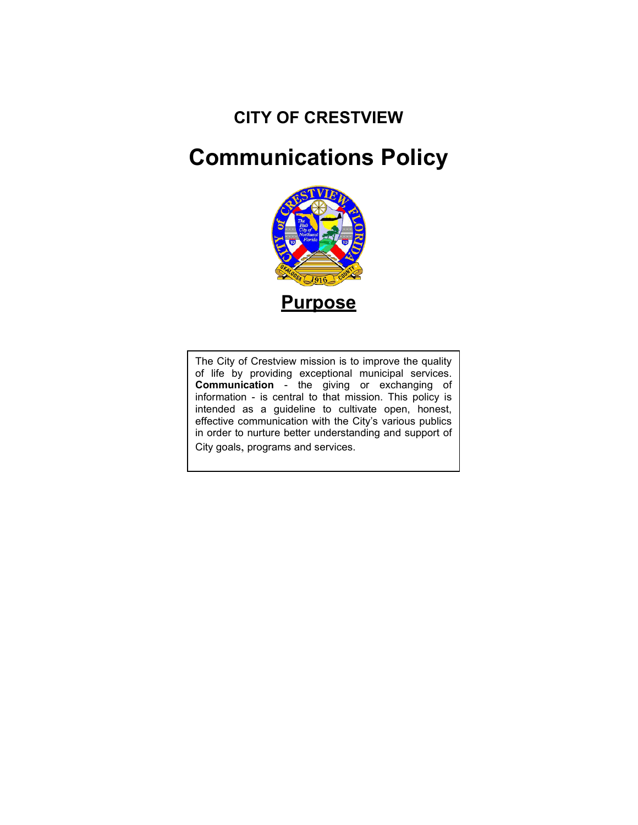## **CITY OF CRESTVIEW**

# **Communications Policy**



**Table of Contents** effective communication with the City's various publics The City of Crestview mission is to improve the quality of life by providing exceptional municipal services. **Communication** - the giving or exchanging of information - is central to that mission. This policy is intended as a guideline to cultivate open, honest, in order to nurture better understanding and support of City goals, programs and services.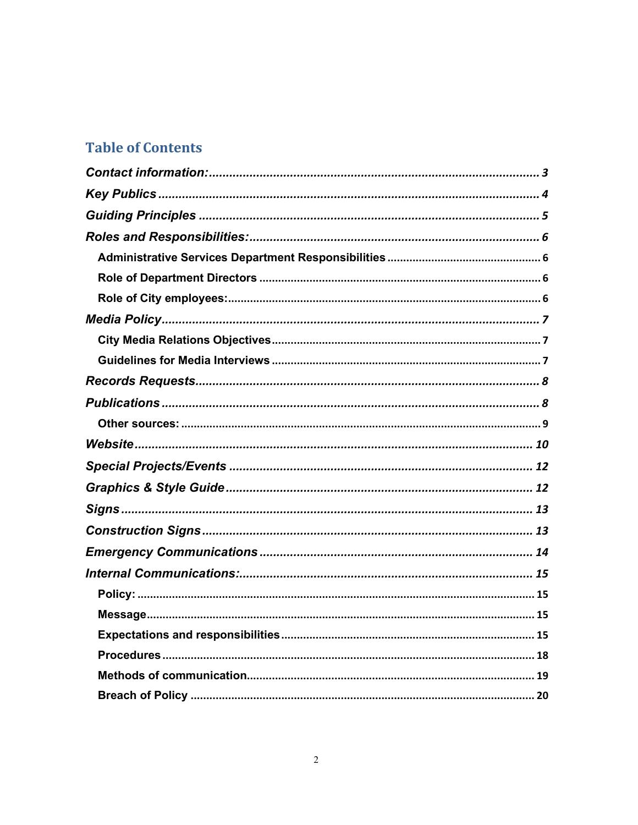## **Table of Contents**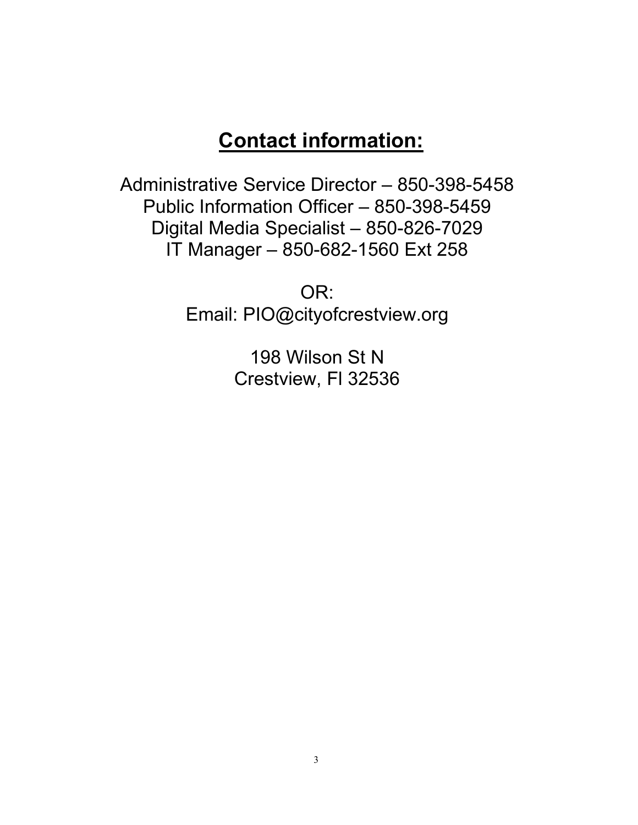## **Contact information:**

<span id="page-2-0"></span>Administrative Service Director – 850-398-5458 Public Information Officer – 850-398-5459 Digital Media Specialist – 850-826-7029 IT Manager – 850-682-1560 Ext 258

> OR: Email: PIO@cityofcrestview.org

> > 198 Wilson St N Crestview, Fl 32536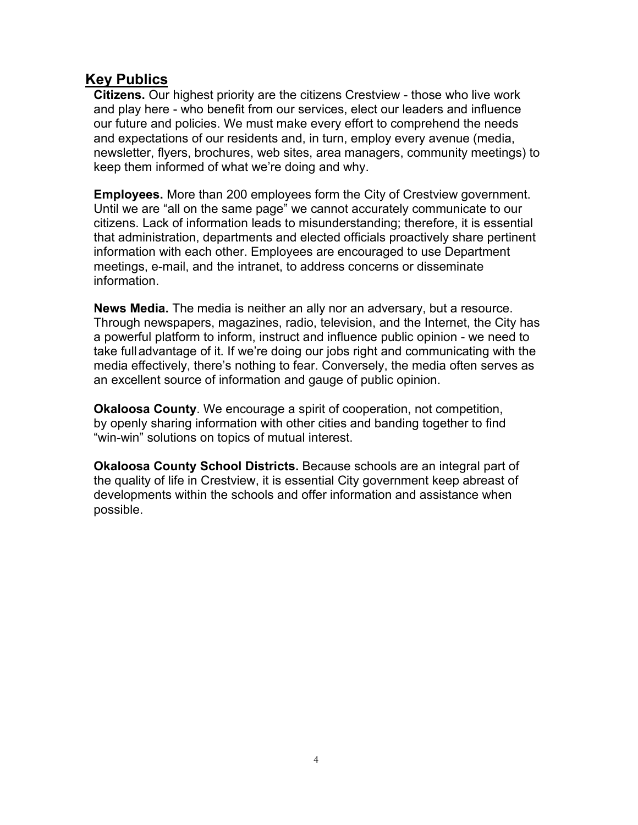## <span id="page-3-0"></span>**Key Publics**

**Citizens.** Our highest priority are the citizens Crestview - those who live work and play here - who benefit from our services, elect our leaders and influence our future and policies. We must make every effort to comprehend the needs and expectations of our residents and, in turn, employ every avenue (media, newsletter, flyers, brochures, web sites, area managers, community meetings) to keep them informed of what we're doing and why.

**Employees.** More than 200 employees form the City of Crestview government. Until we are "all on the same page" we cannot accurately communicate to our citizens. Lack of information leads to misunderstanding; therefore, it is essential that administration, departments and elected officials proactively share pertinent information with each other. Employees are encouraged to use Department meetings, e-mail, and the intranet, to address concerns or disseminate information.

**News Media.** The media is neither an ally nor an adversary, but a resource. Through newspapers, magazines, radio, television, and the Internet, the City has a powerful platform to inform, instruct and influence public opinion - we need to take fulladvantage of it. If we're doing our jobs right and communicating with the media effectively, there's nothing to fear. Conversely, the media often serves as an excellent source of information and gauge of public opinion.

**Okaloosa County**. We encourage a spirit of cooperation, not competition, by openly sharing information with other cities and banding together to find "win-win" solutions on topics of mutual interest.

**Okaloosa County School Districts.** Because schools are an integral part of the quality of life in Crestview, it is essential City government keep abreast of developments within the schools and offer information and assistance when possible.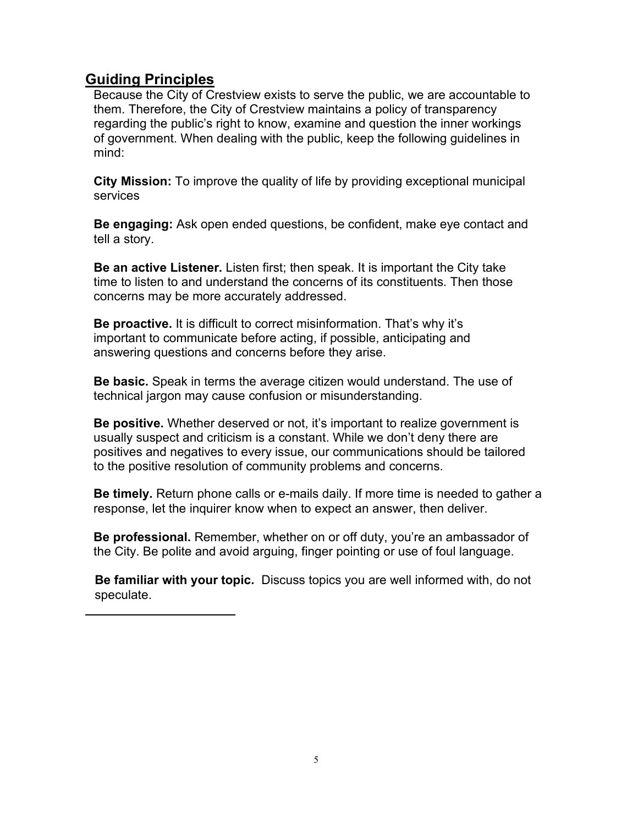## <span id="page-4-0"></span>**Guiding Principles**

Because the City of Crestview exists to serve the public, we are accountable to them. Therefore, the City of Crestview maintains a policy of transparency regarding the public's right to know, examine and question the inner workings of government. When dealing with the public, keep the following guidelines in mind:

**City Mission:** To improve the quality of life by providing exceptional municipal services

**Be engaging:** Ask open ended questions, be confident, make eye contact and tell a story.

**Be an active Listener.** Listen first; then speak. It is important the City take time to listen to and understand the concerns of its constituents. Then those concerns may be more accurately addressed.

**Be proactive.** It is difficult to correct misinformation. That's why it's important to communicate before acting, if possible, anticipating and answering questions and concerns before they arise.

**Be basic.** Speak in terms the average citizen would understand. The use of technical jargon may cause confusion or misunderstanding.

**Be positive.** Whether deserved or not, it's important to realize government is usually suspect and criticism is a constant. While we don't deny there are positives and negatives to every issue, our communications should be tailored to the positive resolution of community problems and concerns.

**Be timely.** Return phone calls or e-mails daily. If more time is needed to gather a response, let the inquirer know when to expect an answer, then deliver.

**Be professional.** Remember, whether on or off duty, you're an ambassador of the City. Be polite and avoid arguing, finger pointing or use of foul language.

**Be familiar with your topic.** Discuss topics you are well informed with, do not speculate.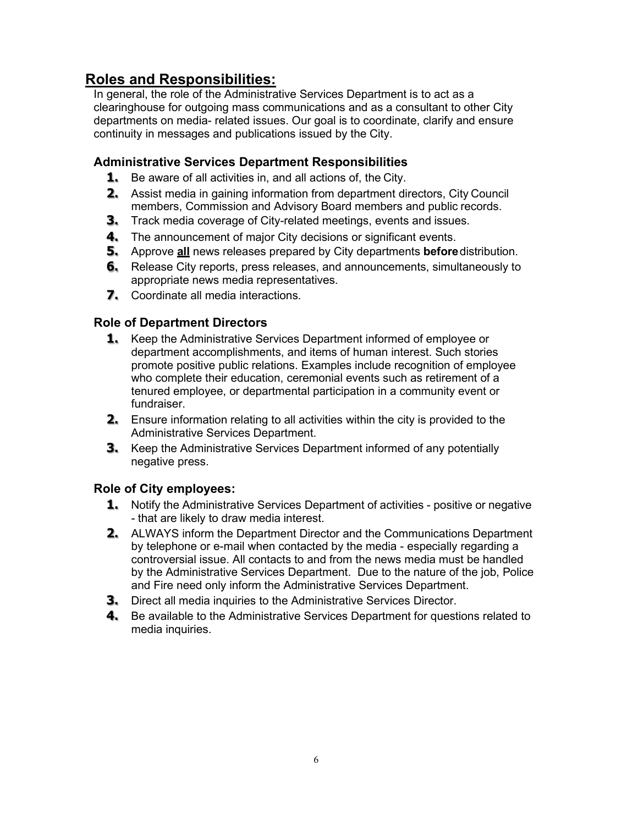## <span id="page-5-0"></span>**Roles and Responsibilities:**

In general, the role of the Administrative Services Department is to act as a clearinghouse for outgoing mass communications and as a consultant to other City departments on media- related issues. Our goal is to coordinate, clarify and ensure continuity in messages and publications issued by the City.

#### <span id="page-5-1"></span>**Administrative Services Department Responsibilities**

- **1.** Be aware of all activities in, and all actions of, the City.
- **2.** Assist media in gaining information from department directors, City Council members, Commission and Advisory Board members and public records.
- **3.** Track media coverage of City-related meetings, events and issues.
- **4.** The announcement of major City decisions or significant events.
- **5.** Approve **all** news releases prepared by City departments **before**distribution.
- **6.** Release City reports, press releases, and announcements, simultaneously to appropriate news media representatives.
- **7.** Coordinate all media interactions.

#### <span id="page-5-2"></span>**Role of Department Directors**

- **1.** Keep the Administrative Services Department informed of employee or department accomplishments, and items of human interest. Such stories promote positive public relations. Examples include recognition of employee who complete their education, ceremonial events such as retirement of a tenured employee, or departmental participation in a community event or fundraiser.
- **2.** Ensure information relating to all activities within the city is provided to the Administrative Services Department.
- **3.** Keep the Administrative Services Department informed of any potentially negative press.

#### <span id="page-5-3"></span>**Role of City employees:**

- **1.** Notify the Administrative Services Department of activities positive or negative - that are likely to draw media interest.
- **2.** ALWAYS inform the Department Director and the Communications Department by telephone or e-mail when contacted by the media - especially regarding a controversial issue. All contacts to and from the news media must be handled by the Administrative Services Department. Due to the nature of the job, Police and Fire need only inform the Administrative Services Department.
- **3.** Direct all media inquiries to the Administrative Services Director.
- **4.** Be available to the Administrative Services Department for questions related to media inquiries.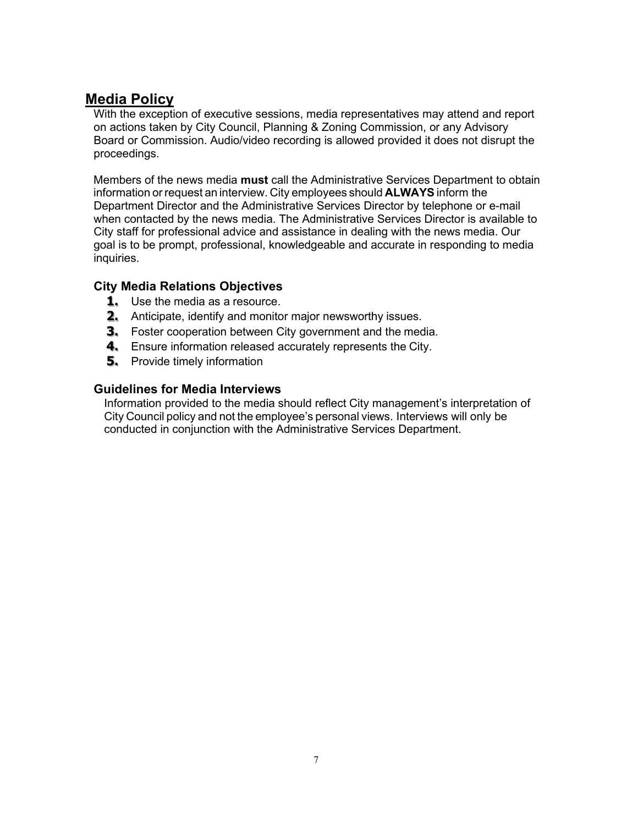## <span id="page-6-0"></span>**Media Policy**

With the exception of executive sessions, media representatives may attend and report on actions taken by City Council, Planning & Zoning Commission, or any Advisory Board or Commission. Audio/video recording is allowed provided it does not disrupt the proceedings.

Members of the news media **must** call the Administrative Services Department to obtain information or request an interview. City employees should **ALWAYS** inform the Department Director and the Administrative Services Director by telephone or e-mail when contacted by the news media. The Administrative Services Director is available to City staff for professional advice and assistance in dealing with the news media. Our goal is to be prompt, professional, knowledgeable and accurate in responding to media inquiries.

#### <span id="page-6-1"></span>**City Media Relations Objectives**

- **1.** Use the media as a resource.
- **2.** Anticipate, identify and monitor major newsworthy issues.
- **3.** Foster cooperation between City government and the media.
- **4.** Ensure information released accurately represents the City.
- **5.** Provide timely information

#### <span id="page-6-2"></span>**Guidelines for Media Interviews**

Information provided to the media should reflect City management's interpretation of City Council policy and not the employee's personal views. Interviews will only be conducted in conjunction with the Administrative Services Department.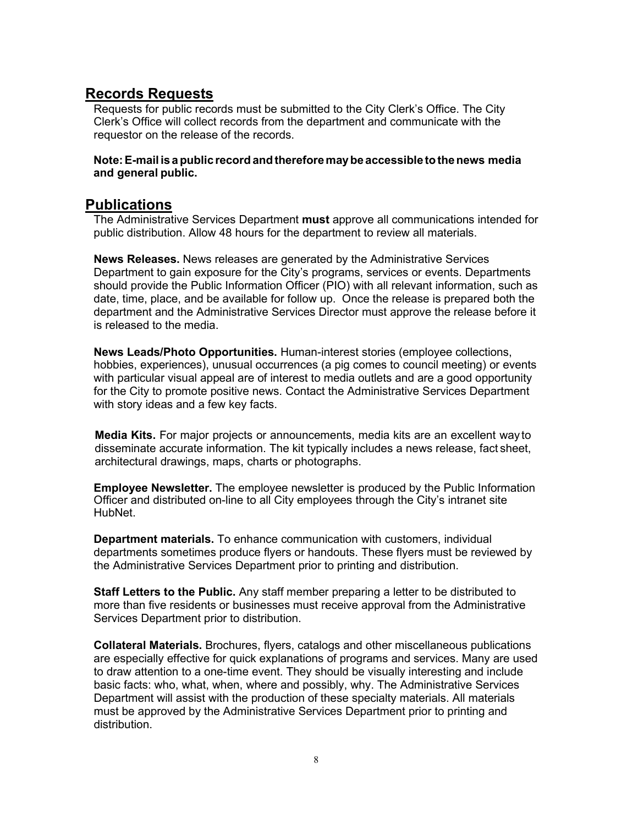### <span id="page-7-0"></span>**Records Requests**

Requests for public records must be submitted to the City Clerk's Office. The City Clerk's Office will collect records from the department and communicate with the requestor on the release of the records.

#### **Note:E-mail isapublicrecordandthereforemaybe accessible tothenews media and general public.**

#### <span id="page-7-1"></span>**Publications**

The Administrative Services Department **must** approve all communications intended for public distribution. Allow 48 hours for the department to review all materials.

**News Releases.** News releases are generated by the Administrative Services Department to gain exposure for the City's programs, services or events. Departments should provide the Public Information Officer (PIO) with all relevant information, such as date, time, place, and be available for follow up. Once the release is prepared both the department and the Administrative Services Director must approve the release before it is released to the media.

**News Leads/Photo Opportunities.** Human-interest stories (employee collections, hobbies, experiences), unusual occurrences (a pig comes to council meeting) or events with particular visual appeal are of interest to media outlets and are a good opportunity for the City to promote positive news. Contact the Administrative Services Department with story ideas and a few key facts.

**Media Kits.** For major projects or announcements, media kits are an excellent way to disseminate accurate information. The kit typically includes a news release, fact sheet, architectural drawings, maps, charts or photographs.

**Employee Newsletter.** The employee newsletter is produced by the Public Information Officer and distributed on-line to all City employees through the City's intranet site HubNet.

**Department materials.** To enhance communication with customers, individual departments sometimes produce flyers or handouts. These flyers must be reviewed by the Administrative Services Department prior to printing and distribution.

**Staff Letters to the Public.** Any staff member preparing a letter to be distributed to more than five residents or businesses must receive approval from the Administrative Services Department prior to distribution.

**Collateral Materials.** Brochures, flyers, catalogs and other miscellaneous publications are especially effective for quick explanations of programs and services. Many are used to draw attention to a one-time event. They should be visually interesting and include basic facts: who, what, when, where and possibly, why. The Administrative Services Department will assist with the production of these specialty materials. All materials must be approved by the Administrative Services Department prior to printing and distribution.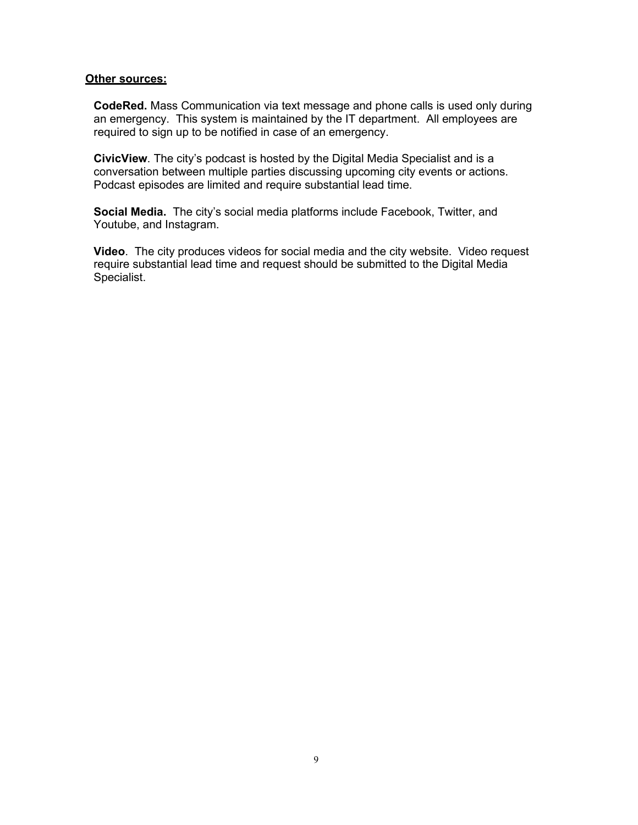#### <span id="page-8-0"></span>**Other sources:**

**CodeRed.** Mass Communication via text message and phone calls is used only during an emergency. This system is maintained by the IT department. All employees are required to sign up to be notified in case of an emergency.

**CivicView**. The city's podcast is hosted by the Digital Media Specialist and is a conversation between multiple parties discussing upcoming city events or actions. Podcast episodes are limited and require substantial lead time.

**Social Media.** The city's social media platforms include Facebook, Twitter, and Youtube, and Instagram.

**Video**. The city produces videos for social media and the city website. Video request require substantial lead time and request should be submitted to the Digital Media Specialist.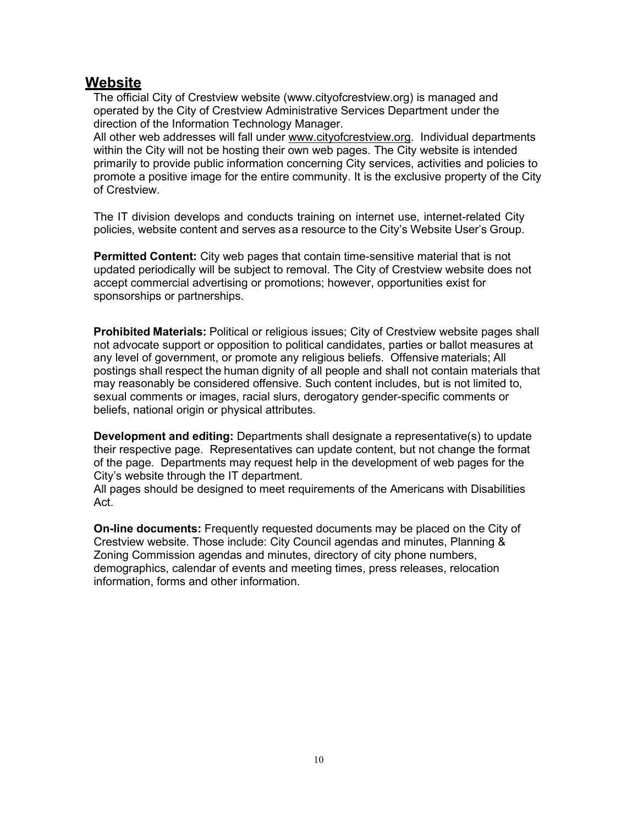### <span id="page-9-0"></span>**Website**

The official City of Crestview website (www.cityofcrestview.org) is managed and operated by the City of Crestview Administrative Services Department under the direction of the Information Technology Manager.

All other web addresses will fall under [www.cityofcrestview.org.](http://www.cityofcrestview.org/) Individual departments within the City will not be hosting their own web pages. The City website is intended primarily to provide public information concerning City services, activities and policies to promote a positive image for the entire community. It is the exclusive property of the City of Crestview.

The IT division develops and conducts training on internet use, internet-related City policies, website content and serves asa resource to the City's Website User's Group.

**Permitted Content:** City web pages that contain time-sensitive material that is not updated periodically will be subject to removal. The City of Crestview website does not accept commercial advertising or promotions; however, opportunities exist for sponsorships or partnerships.

**Prohibited Materials:** Political or religious issues; City of Crestview website pages shall not advocate support or opposition to political candidates, parties or ballot measures at any level of government, or promote any religious beliefs. Offensive materials; All postings shall respect the human dignity of all people and shall not contain materials that may reasonably be considered offensive. Such content includes, but is not limited to, sexual comments or images, racial slurs, derogatory gender-specific comments or beliefs, national origin or physical attributes.

**Development and editing:** Departments shall designate a representative(s) to update their respective page. Representatives can update content, but not change the format of the page. Departments may request help in the development of web pages for the City's website through the IT department.

All pages should be designed to meet requirements of the Americans with Disabilities Act.

**On-line documents:** Frequently requested documents may be placed on the City of Crestview website. Those include: City Council agendas and minutes, Planning & Zoning Commission agendas and minutes, directory of city phone numbers, demographics, calendar of events and meeting times, press releases, relocation information, forms and other information.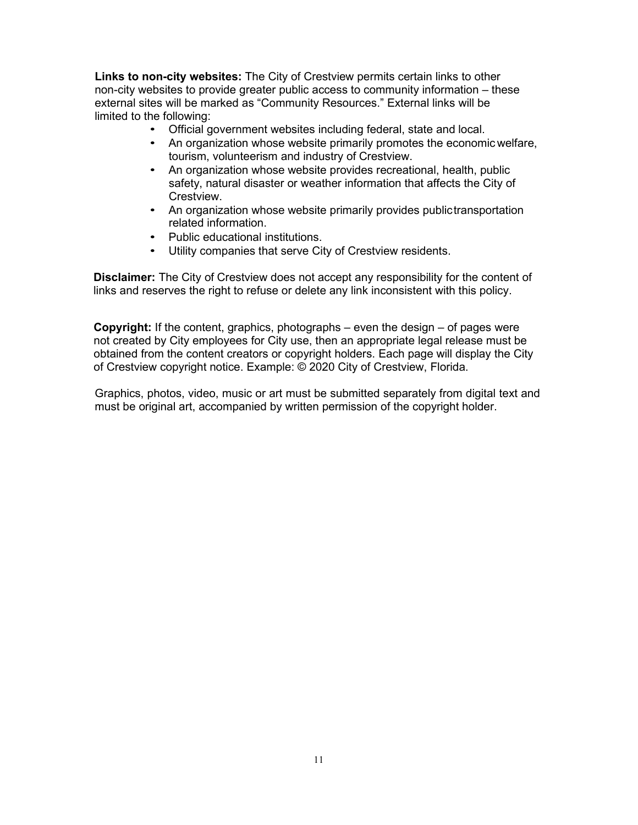**Links to non-city websites:** The City of Crestview permits certain links to other non-city websites to provide greater public access to community information – these external sites will be marked as "Community Resources." External links will be limited to the following:

- Official government websites including federal, state and local.
- An organization whose website primarily promotes the economic welfare, tourism, volunteerism and industry of Crestview.
- An organization whose website provides recreational, health, public safety, natural disaster or weather information that affects the City of Crestview.
- An organization whose website primarily provides publictransportation related information.
- Public educational institutions.
- Utility companies that serve City of Crestview residents.

**Disclaimer:** The City of Crestview does not accept any responsibility for the content of links and reserves the right to refuse or delete any link inconsistent with this policy.

**Copyright:** If the content, graphics, photographs – even the design – of pages were not created by City employees for City use, then an appropriate legal release must be obtained from the content creators or copyright holders. Each page will display the City of Crestview copyright notice. Example: © 2020 City of Crestview, Florida.

Graphics, photos, video, music or art must be submitted separately from digital text and must be original art, accompanied by written permission of the copyright holder.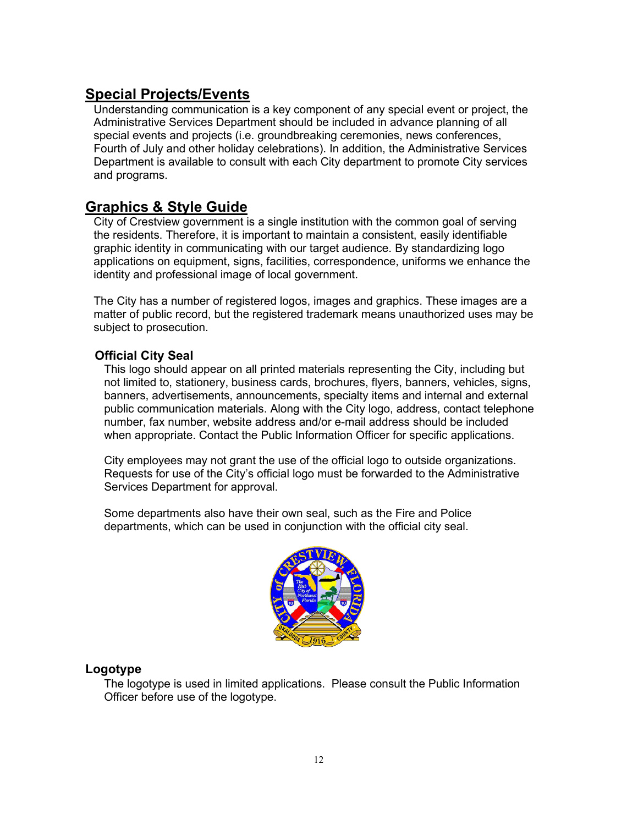## <span id="page-11-0"></span>**Special Projects/Events**

Understanding communication is a key component of any special event or project, the Administrative Services Department should be included in advance planning of all special events and projects (i.e. groundbreaking ceremonies, news conferences, Fourth of July and other holiday celebrations). In addition, the Administrative Services Department is available to consult with each City department to promote City services and programs.

## <span id="page-11-1"></span>**Graphics & Style Guide**

City of Crestview government is a single institution with the common goal of serving the residents. Therefore, it is important to maintain a consistent, easily identifiable graphic identity in communicating with our target audience. By standardizing logo applications on equipment, signs, facilities, correspondence, uniforms we enhance the identity and professional image of local government.

The City has a number of registered logos, images and graphics. These images are a matter of public record, but the registered trademark means unauthorized uses may be subject to prosecution.

#### **Official City Seal**

This logo should appear on all printed materials representing the City, including but not limited to, stationery, business cards, brochures, flyers, banners, vehicles, signs, banners, advertisements, announcements, specialty items and internal and external public communication materials. Along with the City logo, address, contact telephone number, fax number, website address and/or e-mail address should be included when appropriate. Contact the Public Information Officer for specific applications.

City employees may not grant the use of the official logo to outside organizations. Requests for use of the City's official logo must be forwarded to the Administrative Services Department for approval.

Some departments also have their own seal, such as the Fire and Police departments, which can be used in conjunction with the official city seal.



#### **Logotype**

The logotype is used in limited applications. Please consult the Public Information Officer before use of the logotype.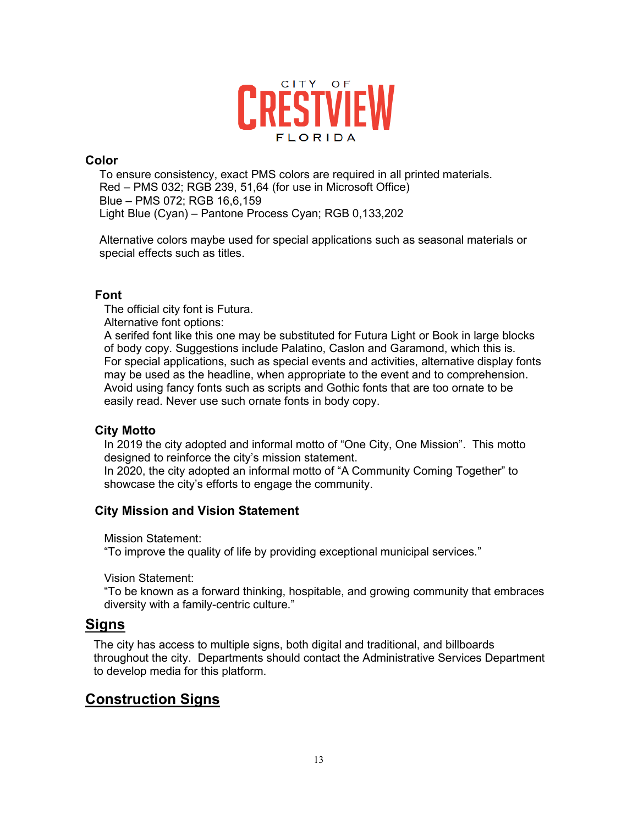

#### **Color**

To ensure consistency, exact PMS colors are required in all printed materials. Red – PMS 032; RGB 239, 51,64 (for use in Microsoft Office) Blue – PMS 072; RGB 16,6,159 Light Blue (Cyan) – Pantone Process Cyan; RGB 0,133,202

Alternative colors maybe used for special applications such as seasonal materials or special effects such as titles.

#### **Font**

The official city font is Futura.

Alternative font options:

A serifed font like this one may be substituted for Futura Light or Book in large blocks of body copy. Suggestions include Palatino, Caslon and Garamond, which this is. For special applications, such as special events and activities, alternative display fonts may be used as the headline, when appropriate to the event and to comprehension. Avoid using fancy fonts such as scripts and Gothic fonts that are too ornate to be easily read. Never use such ornate fonts in body copy.

#### **City Motto**

In 2019 the city adopted and informal motto of "One City, One Mission". This motto designed to reinforce the city's mission statement.

In 2020, the city adopted an informal motto of "A Community Coming Together" to showcase the city's efforts to engage the community.

#### **City Mission and Vision Statement**

Mission Statement:

"To improve the quality of life by providing exceptional municipal services."

Vision Statement:

"To be known as a forward thinking, hospitable, and growing community that embraces diversity with a family-centric culture."

#### <span id="page-12-0"></span>**Signs**

The city has access to multiple signs, both digital and traditional, and billboards throughout the city. Departments should contact the Administrative Services Department to develop media for this platform.

## <span id="page-12-1"></span>**Construction Signs**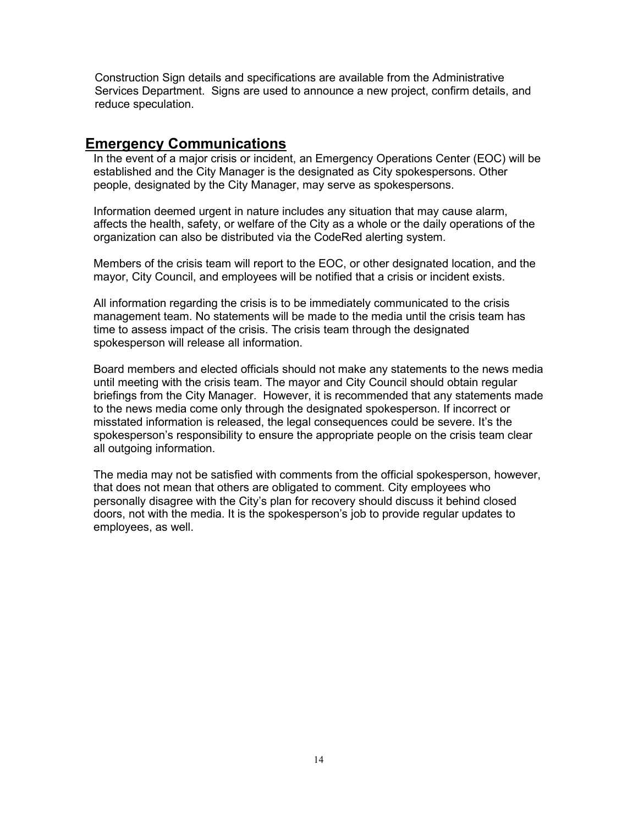Construction Sign details and specifications are available from the Administrative Services Department. Signs are used to announce a new project, confirm details, and reduce speculation.

#### <span id="page-13-0"></span>**Emergency Communications**

In the event of a major crisis or incident, an Emergency Operations Center (EOC) will be established and the City Manager is the designated as City spokespersons. Other people, designated by the City Manager, may serve as spokespersons.

Information deemed urgent in nature includes any situation that may cause alarm, affects the health, safety, or welfare of the City as a whole or the daily operations of the organization can also be distributed via the CodeRed alerting system.

Members of the crisis team will report to the EOC, or other designated location, and the mayor, City Council, and employees will be notified that a crisis or incident exists.

All information regarding the crisis is to be immediately communicated to the crisis management team. No statements will be made to the media until the crisis team has time to assess impact of the crisis. The crisis team through the designated spokesperson will release all information.

Board members and elected officials should not make any statements to the news media until meeting with the crisis team. The mayor and City Council should obtain regular briefings from the City Manager. However, it is recommended that any statements made to the news media come only through the designated spokesperson. If incorrect or misstated information is released, the legal consequences could be severe. It's the spokesperson's responsibility to ensure the appropriate people on the crisis team clear all outgoing information.

The media may not be satisfied with comments from the official spokesperson, however, that does not mean that others are obligated to comment. City employees who personally disagree with the City's plan for recovery should discuss it behind closed doors, not with the media. It is the spokesperson's job to provide regular updates to employees, as well.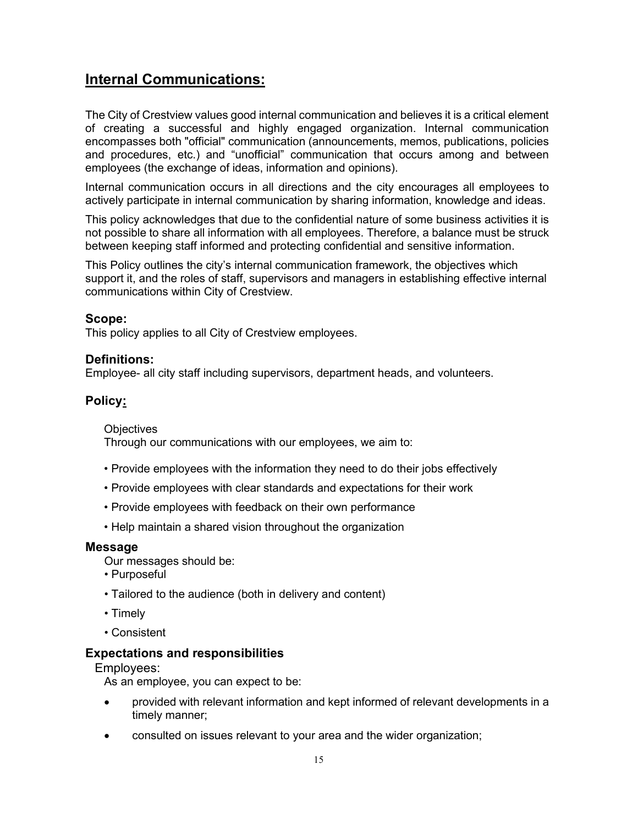## <span id="page-14-0"></span>**Internal Communications:**

The City of Crestview values good internal communication and believes it is a critical element of creating a successful and highly engaged organization. Internal communication encompasses both "official" communication (announcements, memos, publications, policies and procedures, etc.) and "unofficial" communication that occurs among and between employees (the exchange of ideas, information and opinions).

Internal communication occurs in all directions and the city encourages all employees to actively participate in internal communication by sharing information, knowledge and ideas.

This policy acknowledges that due to the confidential nature of some business activities it is not possible to share all information with all employees. Therefore, a balance must be struck between keeping staff informed and protecting confidential and sensitive information.

This Policy outlines the city's internal communication framework, the objectives which support it, and the roles of staff, supervisors and managers in establishing effective internal communications within City of Crestview.

#### **Scope:**

This policy applies to all City of Crestview employees.

#### **Definitions:**

Employee- all city staff including supervisors, department heads, and volunteers.

#### <span id="page-14-1"></span>**Policy:**

**Objectives** 

Through our communications with our employees, we aim to:

- Provide employees with the information they need to do their jobs effectively
- Provide employees with clear standards and expectations for their work
- Provide employees with feedback on their own performance
- Help maintain a shared vision throughout the organization

#### <span id="page-14-2"></span>**Message**

Our messages should be:

- Purposeful
- Tailored to the audience (both in delivery and content)
- Timely
- Consistent

#### <span id="page-14-3"></span>**Expectations and responsibilities**

Employees:

As an employee, you can expect to be:

- provided with relevant information and kept informed of relevant developments in a timely manner;
- consulted on issues relevant to your area and the wider organization;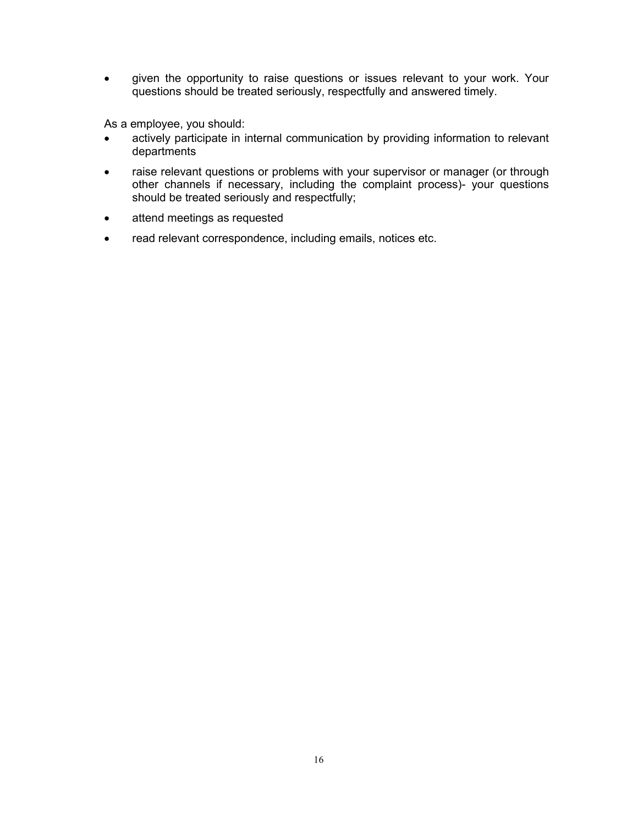• given the opportunity to raise questions or issues relevant to your work. Your questions should be treated seriously, respectfully and answered timely.

As a employee, you should:

- actively participate in internal communication by providing information to relevant departments
- raise relevant questions or problems with your supervisor or manager (or through other channels if necessary, including the complaint process)- your questions should be treated seriously and respectfully;
- attend meetings as requested
- read relevant correspondence, including emails, notices etc.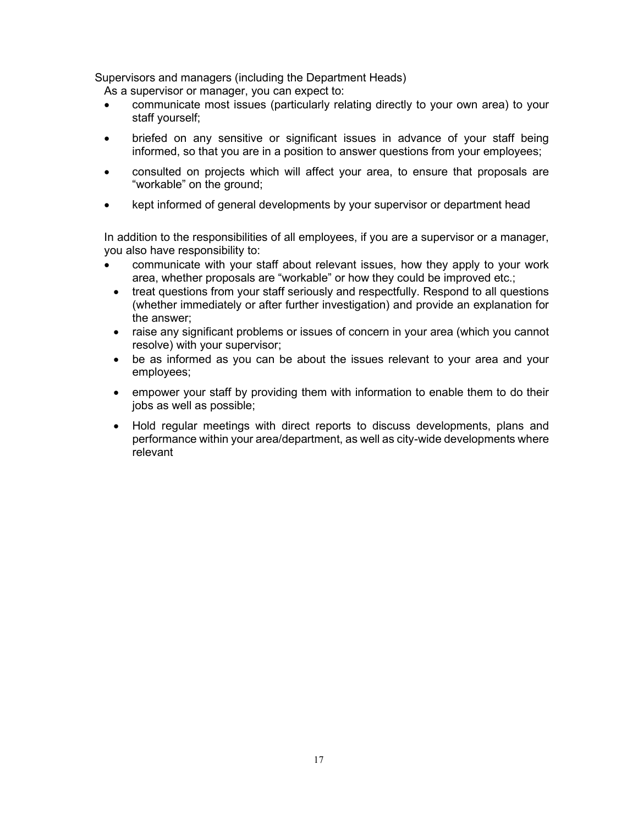Supervisors and managers (including the Department Heads)

As a supervisor or manager, you can expect to:

- communicate most issues (particularly relating directly to your own area) to your staff yourself;
- briefed on any sensitive or significant issues in advance of your staff being informed, so that you are in a position to answer questions from your employees;
- consulted on projects which will affect your area, to ensure that proposals are "workable" on the ground;
- kept informed of general developments by your supervisor or department head

In addition to the responsibilities of all employees, if you are a supervisor or a manager, you also have responsibility to:

- communicate with your staff about relevant issues, how they apply to your work area, whether proposals are "workable" or how they could be improved etc.;
- treat questions from your staff seriously and respectfully. Respond to all questions (whether immediately or after further investigation) and provide an explanation for the answer;
- raise any significant problems or issues of concern in your area (which you cannot resolve) with your supervisor;
- be as informed as you can be about the issues relevant to your area and your employees;
- empower your staff by providing them with information to enable them to do their jobs as well as possible;
- Hold regular meetings with direct reports to discuss developments, plans and performance within your area/department, as well as city-wide developments where relevant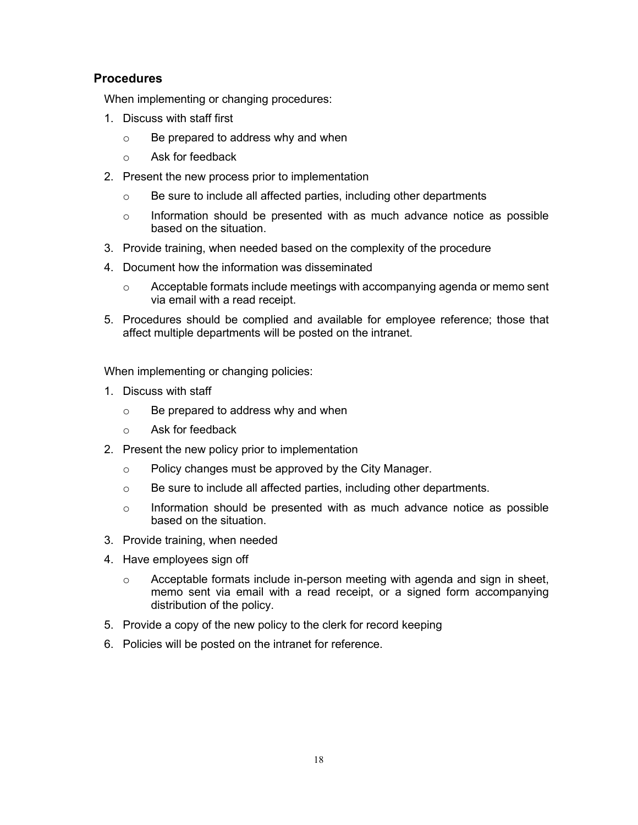#### <span id="page-17-0"></span>**Procedures**

When implementing or changing procedures:

- 1. Discuss with staff first
	- o Be prepared to address why and when
	- o Ask for feedback
- 2. Present the new process prior to implementation
	- o Be sure to include all affected parties, including other departments
	- o Information should be presented with as much advance notice as possible based on the situation.
- 3. Provide training, when needed based on the complexity of the procedure
- 4. Document how the information was disseminated
	- o Acceptable formats include meetings with accompanying agenda or memo sent via email with a read receipt.
- 5. Procedures should be complied and available for employee reference; those that affect multiple departments will be posted on the intranet.

When implementing or changing policies:

- 1. Discuss with staff
	- o Be prepared to address why and when
	- o Ask for feedback
- 2. Present the new policy prior to implementation
	- o Policy changes must be approved by the City Manager.
	- o Be sure to include all affected parties, including other departments.
	- $\circ$  Information should be presented with as much advance notice as possible based on the situation.
- 3. Provide training, when needed
- 4. Have employees sign off
	- o Acceptable formats include in-person meeting with agenda and sign in sheet, memo sent via email with a read receipt, or a signed form accompanying distribution of the policy.
- 5. Provide a copy of the new policy to the clerk for record keeping
- 6. Policies will be posted on the intranet for reference.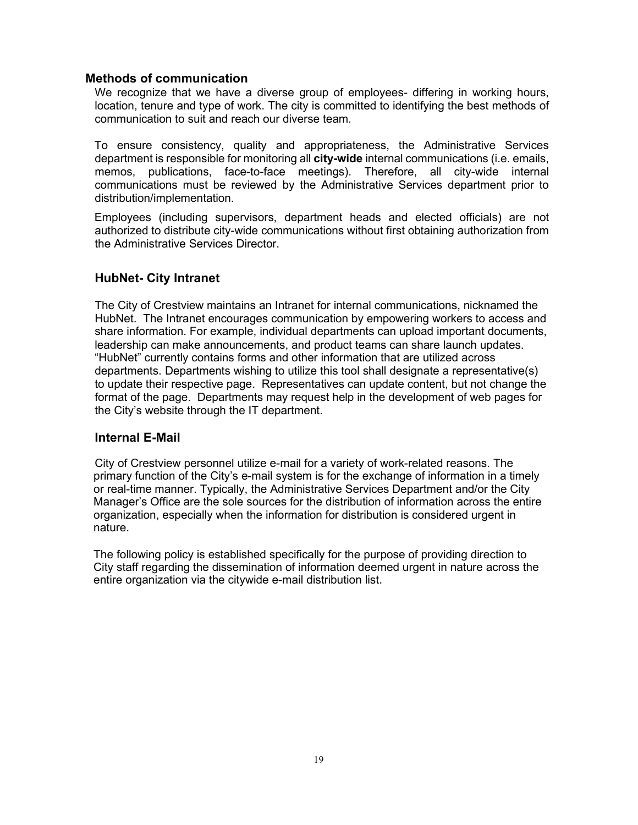#### <span id="page-18-0"></span>**Methods of communication**

We recognize that we have a diverse group of employees- differing in working hours, location, tenure and type of work. The city is committed to identifying the best methods of communication to suit and reach our diverse team.

To ensure consistency, quality and appropriateness, the Administrative Services department is responsible for monitoring all **city-wide** internal communications (i.e. emails, memos, publications, face-to-face meetings). Therefore, all city-wide internal communications must be reviewed by the Administrative Services department prior to distribution/implementation.

Employees (including supervisors, department heads and elected officials) are not authorized to distribute city-wide communications without first obtaining authorization from the Administrative Services Director.

#### **HubNet- City Intranet**

The City of Crestview maintains an Intranet for internal communications, nicknamed the HubNet. The Intranet encourages communication by empowering workers to access and share information. For example, individual departments can upload important documents, leadership can make announcements, and product teams can share launch updates. "HubNet" currently contains forms and other information that are utilized across departments. Departments wishing to utilize this tool shall designate a representative(s) to update their respective page. Representatives can update content, but not change the format of the page. Departments may request help in the development of web pages for the City's website through the IT department.

#### **Internal E-Mail**

City of Crestview personnel utilize e-mail for a variety of work-related reasons. The primary function of the City's e-mail system is for the exchange of information in a timely or real-time manner. Typically, the Administrative Services Department and/or the City Manager's Office are the sole sources for the distribution of information across the entire organization, especially when the information for distribution is considered urgent in nature.

The following policy is established specifically for the purpose of providing direction to City staff regarding the dissemination of information deemed urgent in nature across the entire organization via the citywide e-mail distribution list.